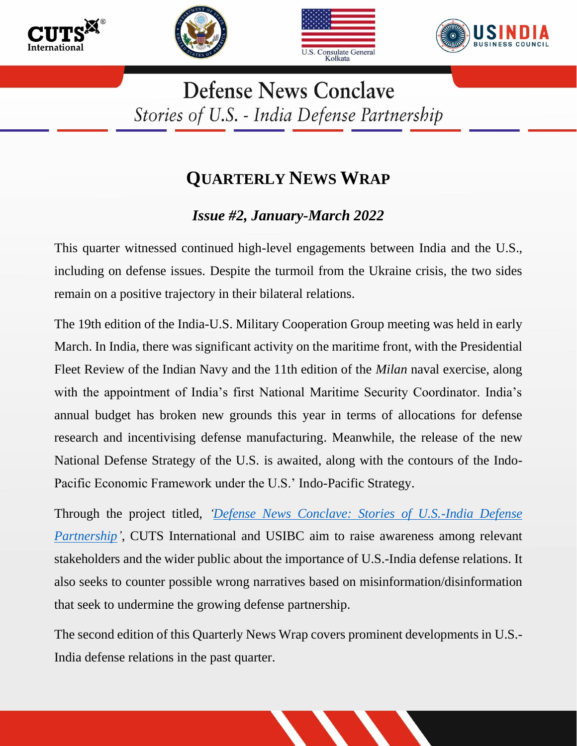







**Defense News Conclave** Stories of U.S. - India Defense Partnership

## **QUARTERLY NEWS WRAP**

## *Issue #2, January-March 2022*

This quarter witnessed continued high-level engagements between India and the U.S., including on defense issues. Despite the turmoil from the Ukraine crisis, the two sides remain on a positive trajectory in their bilateral relations.

The 19th edition of the India-U.S. Military Cooperation Group meeting was held in early March. In India, there was significant activity on the maritime front, with the Presidential Fleet Review of the Indian Navy and the 11th edition of the *Milan* naval exercise, along with the appointment of India's first National Maritime Security Coordinator. India's annual budget has broken new grounds this year in terms of allocations for defense research and incentivising defense manufacturing. Meanwhile, the release of the new National Defense Strategy of the U.S. is awaited, along with the contours of the Indo-Pacific Economic Framework under the U.S.' Indo-Pacific Strategy.

Through the project titled, *['Defense News Conclave: Stories of U.S.-India Defense](https://cuts-wdc.org/defense-news-conclave.htm)  [Partnership'](https://cuts-wdc.org/defense-news-conclave.htm)*, CUTS International and USIBC aim to raise awareness among relevant stakeholders and the wider public about the importance of U.S.-India defense relations. It also seeks to counter possible wrong narratives based on misinformation/disinformation that seek to undermine the growing defense partnership.

The second edition of this Quarterly News Wrap covers prominent developments in U.S.- India defense relations in the past quarter.

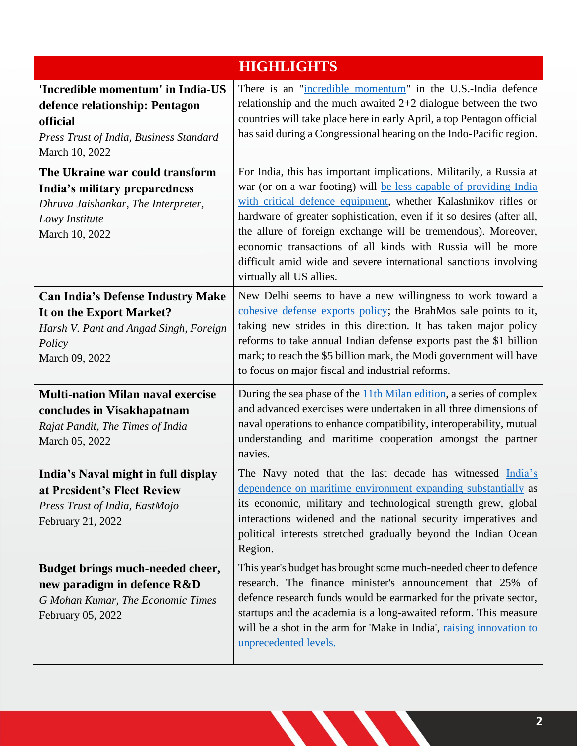| <b>HIGHLIGHTS</b>                                                                                                                            |                                                                                                                                                                                                                                                                                                                                                                                                                                                                                                                     |  |
|----------------------------------------------------------------------------------------------------------------------------------------------|---------------------------------------------------------------------------------------------------------------------------------------------------------------------------------------------------------------------------------------------------------------------------------------------------------------------------------------------------------------------------------------------------------------------------------------------------------------------------------------------------------------------|--|
| 'Incredible momentum' in India-US<br>defence relationship: Pentagon<br>official<br>Press Trust of India, Business Standard<br>March 10, 2022 | There is an "incredible momentum" in the U.S.-India defence<br>relationship and the much awaited $2+2$ dialogue between the two<br>countries will take place here in early April, a top Pentagon official<br>has said during a Congressional hearing on the Indo-Pacific region.                                                                                                                                                                                                                                    |  |
| The Ukraine war could transform<br>India's military preparedness<br>Dhruva Jaishankar, The Interpreter,<br>Lowy Institute<br>March 10, 2022  | For India, this has important implications. Militarily, a Russia at<br>war (or on a war footing) will be less capable of providing India<br>with critical defence equipment, whether Kalashnikov rifles or<br>hardware of greater sophistication, even if it so desires (after all,<br>the allure of foreign exchange will be tremendous). Moreover,<br>economic transactions of all kinds with Russia will be more<br>difficult amid wide and severe international sanctions involving<br>virtually all US allies. |  |
| <b>Can India's Defense Industry Make</b><br>It on the Export Market?<br>Harsh V. Pant and Angad Singh, Foreign<br>Policy<br>March 09, 2022   | New Delhi seems to have a new willingness to work toward a<br>cohesive defense exports policy; the BrahMos sale points to it,<br>taking new strides in this direction. It has taken major policy<br>reforms to take annual Indian defense exports past the \$1 billion<br>mark; to reach the \$5 billion mark, the Modi government will have<br>to focus on major fiscal and industrial reforms.                                                                                                                    |  |
| <b>Multi-nation Milan naval exercise</b><br>concludes in Visakhapatnam<br>Rajat Pandit, The Times of India<br>March 05, 2022                 | During the sea phase of the 11th Milan edition, a series of complex<br>and advanced exercises were undertaken in all three dimensions of<br>naval operations to enhance compatibility, interoperability, mutual<br>understanding and maritime cooperation amongst the partner<br>navies.                                                                                                                                                                                                                            |  |
| India's Naval might in full display<br>at President's Fleet Review<br>Press Trust of India, EastMojo<br>February 21, 2022                    | The Navy noted that the last decade has witnessed India's<br>dependence on maritime environment expanding substantially as<br>its economic, military and technological strength grew, global<br>interactions widened and the national security imperatives and<br>political interests stretched gradually beyond the Indian Ocean<br>Region.                                                                                                                                                                        |  |
| Budget brings much-needed cheer,<br>new paradigm in defence R&D<br>G Mohan Kumar, The Economic Times<br>February 05, 2022                    | This year's budget has brought some much-needed cheer to defence<br>research. The finance minister's announcement that 25% of<br>defence research funds would be earmarked for the private sector,<br>startups and the academia is a long-awaited reform. This measure<br>will be a shot in the arm for 'Make in India', raising innovation to<br>unprecedented levels.                                                                                                                                             |  |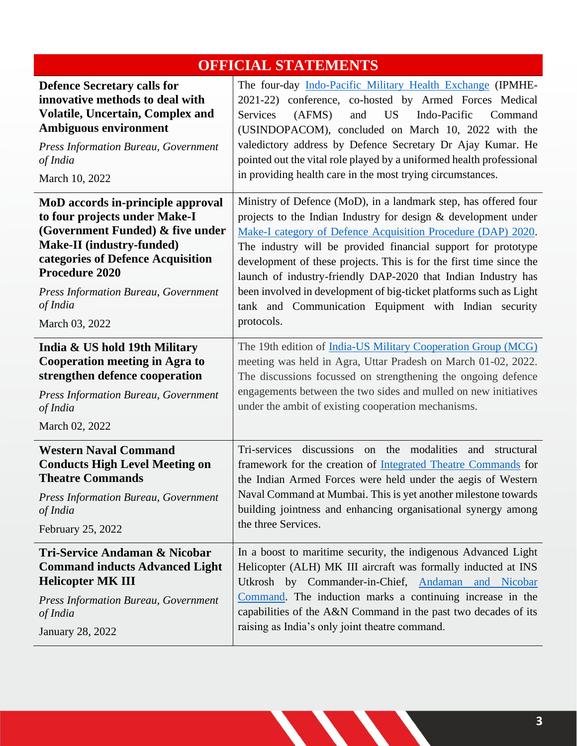| <b>OFFICIAL STATEMENTS</b>                                                                                                                                                                                      |                                                                                                                                                                                                                                                                                                                                                                                                                                                      |  |
|-----------------------------------------------------------------------------------------------------------------------------------------------------------------------------------------------------------------|------------------------------------------------------------------------------------------------------------------------------------------------------------------------------------------------------------------------------------------------------------------------------------------------------------------------------------------------------------------------------------------------------------------------------------------------------|--|
| <b>Defence Secretary calls for</b><br>innovative methods to deal with<br>Volatile, Uncertain, Complex and<br><b>Ambiguous environment</b><br>Press Information Bureau, Government<br>of India<br>March 10, 2022 | The four-day Indo-Pacific Military Health Exchange (IPMHE-<br>2021-22) conference, co-hosted by Armed Forces Medical<br>Services<br>(AFMS)<br><b>US</b><br>Indo-Pacific<br>and<br>Command<br>(USINDOPACOM), concluded on March 10, 2022 with the<br>valedictory address by Defence Secretary Dr Ajay Kumar. He<br>pointed out the vital role played by a uniformed health professional<br>in providing health care in the most trying circumstances. |  |
| MoD accords in-principle approval                                                                                                                                                                               | Ministry of Defence (MoD), in a landmark step, has offered four                                                                                                                                                                                                                                                                                                                                                                                      |  |
| to four projects under Make-I                                                                                                                                                                                   | projects to the Indian Industry for design & development under                                                                                                                                                                                                                                                                                                                                                                                       |  |
| (Government Funded) & five under                                                                                                                                                                                | Make-I category of Defence Acquisition Procedure (DAP) 2020.                                                                                                                                                                                                                                                                                                                                                                                         |  |
| Make-II (industry-funded)                                                                                                                                                                                       | The industry will be provided financial support for prototype                                                                                                                                                                                                                                                                                                                                                                                        |  |
| categories of Defence Acquisition                                                                                                                                                                               | development of these projects. This is for the first time since the                                                                                                                                                                                                                                                                                                                                                                                  |  |
| Procedure 2020                                                                                                                                                                                                  | launch of industry-friendly DAP-2020 that Indian Industry has                                                                                                                                                                                                                                                                                                                                                                                        |  |
| <b>Press Information Bureau, Government</b>                                                                                                                                                                     | been involved in development of big-ticket platforms such as Light                                                                                                                                                                                                                                                                                                                                                                                   |  |
| of India                                                                                                                                                                                                        | tank and Communication Equipment with Indian security                                                                                                                                                                                                                                                                                                                                                                                                |  |
| March 03, 2022                                                                                                                                                                                                  | protocols.                                                                                                                                                                                                                                                                                                                                                                                                                                           |  |
| India & US hold 19th Military<br><b>Cooperation meeting in Agra to</b><br>strengthen defence cooperation<br><b>Press Information Bureau, Government</b><br>of India<br>March 02, 2022                           | The 19th edition of India-US Military Cooperation Group (MCG)<br>meeting was held in Agra, Uttar Pradesh on March 01-02, 2022.<br>The discussions focussed on strengthening the ongoing defence<br>engagements between the two sides and mulled on new initiatives<br>under the ambit of existing cooperation mechanisms.                                                                                                                            |  |
| <b>Western Naval Command</b>                                                                                                                                                                                    | Tri-services discussions on the modalities and structural                                                                                                                                                                                                                                                                                                                                                                                            |  |
| <b>Conducts High Level Meeting on</b>                                                                                                                                                                           | framework for the creation of Integrated Theatre Commands for                                                                                                                                                                                                                                                                                                                                                                                        |  |
| <b>Theatre Commands</b>                                                                                                                                                                                         | the Indian Armed Forces were held under the aegis of Western                                                                                                                                                                                                                                                                                                                                                                                         |  |
| <b>Press Information Bureau, Government</b>                                                                                                                                                                     | Naval Command at Mumbai. This is yet another milestone towards                                                                                                                                                                                                                                                                                                                                                                                       |  |
| of India                                                                                                                                                                                                        | building jointness and enhancing organisational synergy among                                                                                                                                                                                                                                                                                                                                                                                        |  |
| February 25, 2022                                                                                                                                                                                               | the three Services.                                                                                                                                                                                                                                                                                                                                                                                                                                  |  |
| Tri-Service Andaman & Nicobar                                                                                                                                                                                   | In a boost to maritime security, the indigenous Advanced Light                                                                                                                                                                                                                                                                                                                                                                                       |  |
| <b>Command inducts Advanced Light</b>                                                                                                                                                                           | Helicopter (ALH) MK III aircraft was formally inducted at INS                                                                                                                                                                                                                                                                                                                                                                                        |  |
| <b>Helicopter MK III</b>                                                                                                                                                                                        | Utkrosh by Commander-in-Chief, Andaman and Nicobar                                                                                                                                                                                                                                                                                                                                                                                                   |  |
| <b>Press Information Bureau, Government</b>                                                                                                                                                                     | Command. The induction marks a continuing increase in the                                                                                                                                                                                                                                                                                                                                                                                            |  |
| of India                                                                                                                                                                                                        | capabilities of the A&N Command in the past two decades of its                                                                                                                                                                                                                                                                                                                                                                                       |  |
| January 28, 2022                                                                                                                                                                                                | raising as India's only joint theatre command.                                                                                                                                                                                                                                                                                                                                                                                                       |  |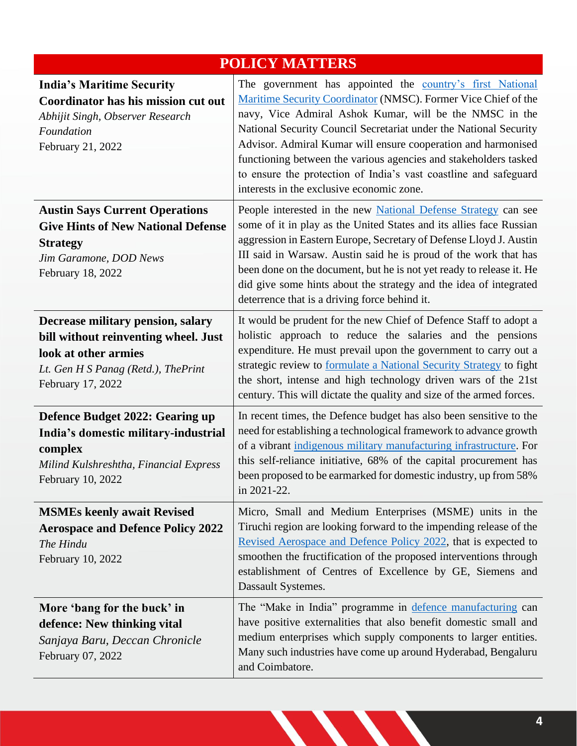| <b>POLICY MATTERS</b>                                                                                                                                          |                                                                                                                                                                                                                                                                                                                                                                                                                                                                                                                   |  |
|----------------------------------------------------------------------------------------------------------------------------------------------------------------|-------------------------------------------------------------------------------------------------------------------------------------------------------------------------------------------------------------------------------------------------------------------------------------------------------------------------------------------------------------------------------------------------------------------------------------------------------------------------------------------------------------------|--|
| <b>India's Maritime Security</b><br>Coordinator has his mission cut out<br>Abhijit Singh, Observer Research<br>Foundation<br>February 21, 2022                 | The government has appointed the country's first National<br>Maritime Security Coordinator (NMSC). Former Vice Chief of the<br>navy, Vice Admiral Ashok Kumar, will be the NMSC in the<br>National Security Council Secretariat under the National Security<br>Advisor. Admiral Kumar will ensure cooperation and harmonised<br>functioning between the various agencies and stakeholders tasked<br>to ensure the protection of India's vast coastline and safeguard<br>interests in the exclusive economic zone. |  |
| <b>Austin Says Current Operations</b><br><b>Give Hints of New National Defense</b><br><b>Strategy</b><br>Jim Garamone, DOD News<br>February 18, 2022           | People interested in the new National Defense Strategy can see<br>some of it in play as the United States and its allies face Russian<br>aggression in Eastern Europe, Secretary of Defense Lloyd J. Austin<br>III said in Warsaw. Austin said he is proud of the work that has<br>been done on the document, but he is not yet ready to release it. He<br>did give some hints about the strategy and the idea of integrated<br>deterrence that is a driving force behind it.                                     |  |
| Decrease military pension, salary<br>bill without reinventing wheel. Just<br>look at other armies<br>Lt. Gen H S Panag (Retd.), The Print<br>February 17, 2022 | It would be prudent for the new Chief of Defence Staff to adopt a<br>holistic approach to reduce the salaries and the pensions<br>expenditure. He must prevail upon the government to carry out a<br>strategic review to formulate a National Security Strategy to fight<br>the short, intense and high technology driven wars of the 21st<br>century. This will dictate the quality and size of the armed forces.                                                                                                |  |
| Defence Budget 2022: Gearing up<br>India's domestic military-industrial<br>complex<br>Milind Kulshreshtha, Financial Express<br>February 10, 2022              | In recent times, the Defence budget has also been sensitive to the<br>need for establishing a technological framework to advance growth<br>of a vibrant indigenous military manufacturing infrastructure. For<br>this self-reliance initiative, 68% of the capital procurement has<br>been proposed to be earmarked for domestic industry, up from 58%<br>in 2021-22.                                                                                                                                             |  |
| <b>MSMEs keenly await Revised</b><br><b>Aerospace and Defence Policy 2022</b><br>The Hindu<br>February 10, 2022                                                | Micro, Small and Medium Enterprises (MSME) units in the<br>Tiruchi region are looking forward to the impending release of the<br>Revised Aerospace and Defence Policy 2022, that is expected to<br>smoothen the fructification of the proposed interventions through<br>establishment of Centres of Excellence by GE, Siemens and<br>Dassault Systemes.                                                                                                                                                           |  |
| More 'bang for the buck' in<br>defence: New thinking vital<br>Sanjaya Baru, Deccan Chronicle<br>February 07, 2022                                              | The "Make in India" programme in defence manufacturing can<br>have positive externalities that also benefit domestic small and<br>medium enterprises which supply components to larger entities.<br>Many such industries have come up around Hyderabad, Bengaluru<br>and Coimbatore.                                                                                                                                                                                                                              |  |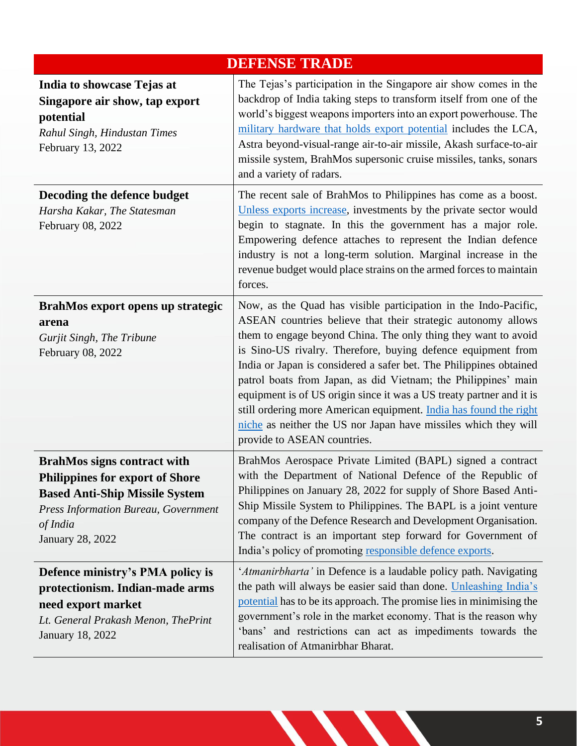| <b>DEFENSE TRADE</b>                                                                                                                                                                                        |                                                                                                                                                                                                                                                                                                                                                                                                                                                                                                                                                                                                                                                          |  |
|-------------------------------------------------------------------------------------------------------------------------------------------------------------------------------------------------------------|----------------------------------------------------------------------------------------------------------------------------------------------------------------------------------------------------------------------------------------------------------------------------------------------------------------------------------------------------------------------------------------------------------------------------------------------------------------------------------------------------------------------------------------------------------------------------------------------------------------------------------------------------------|--|
| India to showcase Tejas at<br>Singapore air show, tap export<br>potential<br>Rahul Singh, Hindustan Times<br>February 13, 2022                                                                              | The Tejas's participation in the Singapore air show comes in the<br>backdrop of India taking steps to transform itself from one of the<br>world's biggest weapons importers into an export powerhouse. The<br>military hardware that holds export potential includes the LCA,<br>Astra beyond-visual-range air-to-air missile, Akash surface-to-air<br>missile system, BrahMos supersonic cruise missiles, tanks, sonars<br>and a variety of radars.                                                                                                                                                                                                     |  |
| Decoding the defence budget<br>Harsha Kakar, The Statesman<br>February 08, 2022                                                                                                                             | The recent sale of BrahMos to Philippines has come as a boost.<br>Unless exports increase, investments by the private sector would<br>begin to stagnate. In this the government has a major role.<br>Empowering defence attaches to represent the Indian defence<br>industry is not a long-term solution. Marginal increase in the<br>revenue budget would place strains on the armed forces to maintain<br>forces.                                                                                                                                                                                                                                      |  |
| BrahMos export opens up strategic<br>arena<br>Gurjit Singh, The Tribune<br>February 08, 2022                                                                                                                | Now, as the Quad has visible participation in the Indo-Pacific,<br>ASEAN countries believe that their strategic autonomy allows<br>them to engage beyond China. The only thing they want to avoid<br>is Sino-US rivalry. Therefore, buying defence equipment from<br>India or Japan is considered a safer bet. The Philippines obtained<br>patrol boats from Japan, as did Vietnam; the Philippines' main<br>equipment is of US origin since it was a US treaty partner and it is<br>still ordering more American equipment. India has found the right<br>niche as neither the US nor Japan have missiles which they will<br>provide to ASEAN countries. |  |
| <b>BrahMos signs contract with</b><br><b>Philippines for export of Shore</b><br><b>Based Anti-Ship Missile System</b><br><b>Press Information Bureau, Government</b><br>of India<br><b>January 28, 2022</b> | BrahMos Aerospace Private Limited (BAPL) signed a contract<br>with the Department of National Defence of the Republic of<br>Philippines on January 28, 2022 for supply of Shore Based Anti-<br>Ship Missile System to Philippines. The BAPL is a joint venture<br>company of the Defence Research and Development Organisation.<br>The contract is an important step forward for Government of<br>India's policy of promoting responsible defence exports.                                                                                                                                                                                               |  |
| Defence ministry's PMA policy is<br>protectionism. Indian-made arms<br>need export market<br>Lt. General Prakash Menon, ThePrint<br>January 18, 2022                                                        | 'Atmanirbharta' in Defence is a laudable policy path. Navigating<br>the path will always be easier said than done. Unleashing India's<br>potential has to be its approach. The promise lies in minimising the<br>government's role in the market economy. That is the reason why<br>'bans' and restrictions can act as impediments towards the<br>realisation of Atmanirbhar Bharat.                                                                                                                                                                                                                                                                     |  |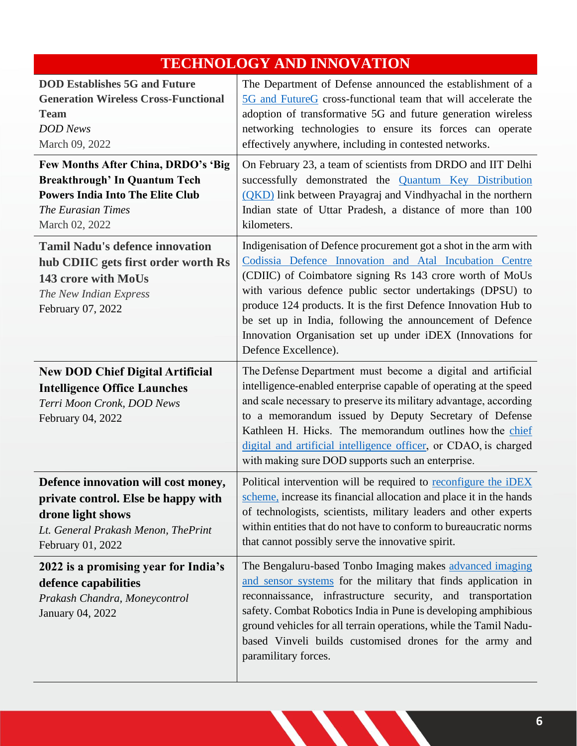## **TECHNOLOGY AND INNOVATION**

| <b>DOD Establishes 5G and Future</b><br><b>Generation Wireless Cross-Functional</b><br><b>Team</b><br><b>DOD</b> News<br>March 09, 2022                               | The Department of Defense announced the establishment of a<br>5G and FutureG cross-functional team that will accelerate the<br>adoption of transformative 5G and future generation wireless<br>networking technologies to ensure its forces can operate<br>effectively anywhere, including in contested networks.<br>On February 23, a team of scientists from DRDO and IIT Delhi<br>successfully demonstrated the <b>Quantum Key Distribution</b><br>(QKD) link between Prayagraj and Vindhyachal in the northern<br>Indian state of Uttar Pradesh, a distance of more than 100<br>kilometers. |  |
|-----------------------------------------------------------------------------------------------------------------------------------------------------------------------|-------------------------------------------------------------------------------------------------------------------------------------------------------------------------------------------------------------------------------------------------------------------------------------------------------------------------------------------------------------------------------------------------------------------------------------------------------------------------------------------------------------------------------------------------------------------------------------------------|--|
| Few Months After China, DRDO's 'Big<br><b>Breakthrough' In Quantum Tech</b><br><b>Powers India Into The Elite Club</b><br><b>The Eurasian Times</b><br>March 02, 2022 |                                                                                                                                                                                                                                                                                                                                                                                                                                                                                                                                                                                                 |  |
| <b>Tamil Nadu's defence innovation</b><br>hub CDIIC gets first order worth Rs<br>143 crore with MoUs<br>The New Indian Express<br>February 07, 2022                   | Indigenisation of Defence procurement got a shot in the arm with<br>Codissia Defence Innovation and Atal Incubation Centre<br>(CDIIC) of Coimbatore signing Rs 143 crore worth of MoUs<br>with various defence public sector undertakings (DPSU) to<br>produce 124 products. It is the first Defence Innovation Hub to<br>be set up in India, following the announcement of Defence<br>Innovation Organisation set up under iDEX (Innovations for<br>Defence Excellence).                                                                                                                       |  |
| <b>New DOD Chief Digital Artificial</b><br><b>Intelligence Office Launches</b><br>Terri Moon Cronk, DOD News<br>February 04, 2022                                     | The Defense Department must become a digital and artificial<br>intelligence-enabled enterprise capable of operating at the speed<br>and scale necessary to preserve its military advantage, according<br>to a memorandum issued by Deputy Secretary of Defense<br>Kathleen H. Hicks. The memorandum outlines how the chief<br>digital and artificial intelligence officer, or CDAO, is charged<br>with making sure DOD supports such an enterprise.                                                                                                                                             |  |
| Defence innovation will cost money,<br>private control. Else be happy with<br>drone light shows<br>Lt. General Prakash Menon, ThePrint<br>February 01, 2022           | Political intervention will be required to reconfigure the iDEX<br>scheme, increase its financial allocation and place it in the hands<br>of technologists, scientists, military leaders and other experts<br>within entities that do not have to conform to bureaucratic norms<br>that cannot possibly serve the innovative spirit.                                                                                                                                                                                                                                                            |  |
| 2022 is a promising year for India's<br>defence capabilities<br>Prakash Chandra, Moneycontrol<br>January 04, 2022                                                     | The Bengaluru-based Tonbo Imaging makes advanced imaging<br>and sensor systems for the military that finds application in<br>reconnaissance, infrastructure security, and transportation<br>safety. Combat Robotics India in Pune is developing amphibious<br>ground vehicles for all terrain operations, while the Tamil Nadu-<br>based Vinveli builds customised drones for the army and<br>paramilitary forces.                                                                                                                                                                              |  |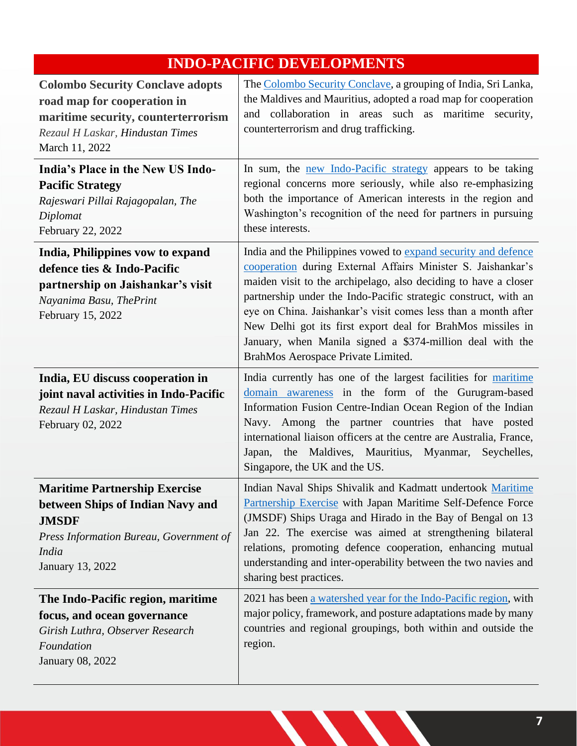## **INDO-PACIFIC DEVELOPMENTS**

| <b>Colombo Security Conclave adopts</b><br>road map for cooperation in<br>maritime security, counterterrorism<br>Rezaul H Laskar, Hindustan Times<br>March 11, 2022     | The Colombo Security Conclave, a grouping of India, Sri Lanka,<br>the Maldives and Mauritius, adopted a road map for cooperation<br>and collaboration in areas such as maritime security,<br>counterterrorism and drug trafficking.                                                                                                                                                                                                                                                                      |  |
|-------------------------------------------------------------------------------------------------------------------------------------------------------------------------|----------------------------------------------------------------------------------------------------------------------------------------------------------------------------------------------------------------------------------------------------------------------------------------------------------------------------------------------------------------------------------------------------------------------------------------------------------------------------------------------------------|--|
| India's Place in the New US Indo-<br><b>Pacific Strategy</b><br>Rajeswari Pillai Rajagopalan, The<br>Diplomat<br>February 22, 2022                                      | In sum, the <u>new Indo-Pacific strategy</u> appears to be taking<br>regional concerns more seriously, while also re-emphasizing<br>both the importance of American interests in the region and<br>Washington's recognition of the need for partners in pursuing<br>these interests.                                                                                                                                                                                                                     |  |
| India, Philippines vow to expand<br>defence ties & Indo-Pacific<br>partnership on Jaishankar's visit<br>Nayanima Basu, ThePrint<br>February 15, 2022                    | India and the Philippines vowed to expand security and defence<br>cooperation during External Affairs Minister S. Jaishankar's<br>maiden visit to the archipelago, also deciding to have a closer<br>partnership under the Indo-Pacific strategic construct, with an<br>eye on China. Jaishankar's visit comes less than a month after<br>New Delhi got its first export deal for BrahMos missiles in<br>January, when Manila signed a \$374-million deal with the<br>BrahMos Aerospace Private Limited. |  |
| India, EU discuss cooperation in<br>joint naval activities in Indo-Pacific<br>Rezaul H Laskar, Hindustan Times<br>February 02, 2022                                     | India currently has one of the largest facilities for maritime<br>domain awareness in the form of the Gurugram-based<br>Information Fusion Centre-Indian Ocean Region of the Indian<br>Navy. Among the partner countries that have posted<br>international liaison officers at the centre are Australia, France,<br>the Maldives, Mauritius, Myanmar,<br>Seychelles,<br>Japan,<br>Singapore, the UK and the US.                                                                                          |  |
| <b>Maritime Partnership Exercise</b><br>between Ships of Indian Navy and<br><b>JMSDF</b><br>Press Information Bureau, Government of<br><b>India</b><br>January 13, 2022 | Indian Naval Ships Shivalik and Kadmatt undertook Maritime<br>Partnership Exercise with Japan Maritime Self-Defence Force<br>(JMSDF) Ships Uraga and Hirado in the Bay of Bengal on 13<br>Jan 22. The exercise was aimed at strengthening bilateral<br>relations, promoting defence cooperation, enhancing mutual<br>understanding and inter-operability between the two navies and<br>sharing best practices.                                                                                           |  |
| The Indo-Pacific region, maritime<br>focus, and ocean governance<br>Girish Luthra, Observer Research<br>Foundation<br>January 08, 2022                                  | 2021 has been a watershed year for the Indo-Pacific region, with<br>major policy, framework, and posture adaptations made by many<br>countries and regional groupings, both within and outside the<br>region.                                                                                                                                                                                                                                                                                            |  |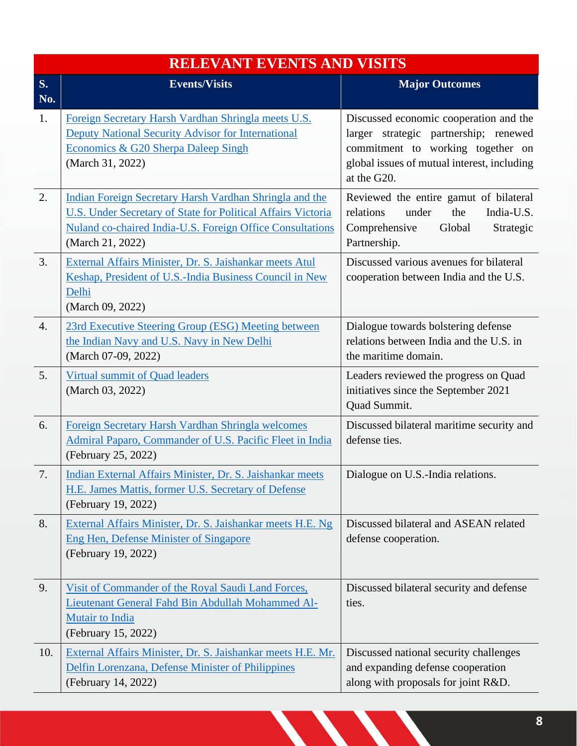|                  | <b>RELEVANT EVENTS AND VISITS</b>                                                                                                                                                                        |                                                                                                                                                                                    |  |
|------------------|----------------------------------------------------------------------------------------------------------------------------------------------------------------------------------------------------------|------------------------------------------------------------------------------------------------------------------------------------------------------------------------------------|--|
| <b>S.</b><br>No. | <b>Events/Visits</b>                                                                                                                                                                                     | <b>Major Outcomes</b>                                                                                                                                                              |  |
| 1.               | Foreign Secretary Harsh Vardhan Shringla meets U.S.<br><b>Deputy National Security Advisor for International</b><br>Economics & G20 Sherpa Daleep Singh<br>(March 31, 2022)                              | Discussed economic cooperation and the<br>larger strategic partnership; renewed<br>commitment to working together on<br>global issues of mutual interest, including<br>at the G20. |  |
| 2.               | Indian Foreign Secretary Harsh Vardhan Shringla and the<br>U.S. Under Secretary of State for Political Affairs Victoria<br>Nuland co-chaired India-U.S. Foreign Office Consultations<br>(March 21, 2022) | Reviewed the entire gamut of bilateral<br>relations<br>under<br>the<br>India-U.S.<br>Comprehensive<br>Global<br>Strategic<br>Partnership.                                          |  |
| 3.               | External Affairs Minister, Dr. S. Jaishankar meets Atul<br>Keshap, President of U.S.-India Business Council in New<br>Delhi<br>(March 09, 2022)                                                          | Discussed various avenues for bilateral<br>cooperation between India and the U.S.                                                                                                  |  |
| $\overline{4}$ . | 23rd Executive Steering Group (ESG) Meeting between<br>the Indian Navy and U.S. Navy in New Delhi<br>(March 07-09, 2022)                                                                                 | Dialogue towards bolstering defense<br>relations between India and the U.S. in<br>the maritime domain.                                                                             |  |
| 5.               | Virtual summit of Quad leaders<br>(March 03, 2022)                                                                                                                                                       | Leaders reviewed the progress on Quad<br>initiatives since the September 2021<br>Quad Summit.                                                                                      |  |
| 6.               | Foreign Secretary Harsh Vardhan Shringla welcomes<br>Admiral Paparo, Commander of U.S. Pacific Fleet in India<br>(February 25, 2022)                                                                     | Discussed bilateral maritime security and<br>defense ties.                                                                                                                         |  |
| 7.               | Indian External Affairs Minister, Dr. S. Jaishankar meets<br>H.E. James Mattis, former U.S. Secretary of Defense<br>(February 19, 2022)                                                                  | Dialogue on U.S.-India relations.                                                                                                                                                  |  |
| 8.               | External Affairs Minister, Dr. S. Jaishankar meets H.E. Ng<br><b>Eng Hen, Defense Minister of Singapore</b><br>(February 19, 2022)                                                                       | Discussed bilateral and ASEAN related<br>defense cooperation.                                                                                                                      |  |
| 9.               | Visit of Commander of the Royal Saudi Land Forces,<br>Lieutenant General Fahd Bin Abdullah Mohammed Al-<br>Mutair to India<br>(February 15, 2022)                                                        | Discussed bilateral security and defense<br>ties.                                                                                                                                  |  |
| 10.              | External Affairs Minister, Dr. S. Jaishankar meets H.E. Mr.<br>Delfin Lorenzana, Defense Minister of Philippines<br>(February 14, 2022)                                                                  | Discussed national security challenges<br>and expanding defense cooperation<br>along with proposals for joint R&D.                                                                 |  |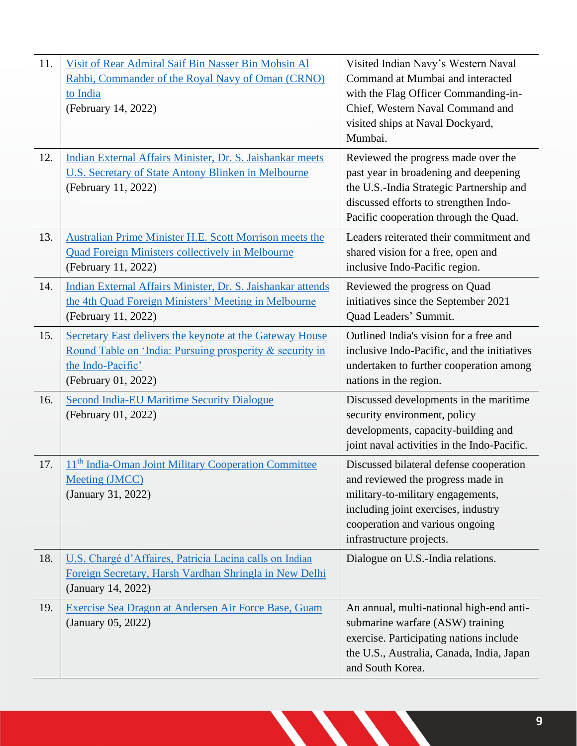| 11.<br>12. | Visit of Rear Admiral Saif Bin Nasser Bin Mohsin Al<br>Rahbi, Commander of the Royal Navy of Oman (CRNO)<br>to India<br>(February 14, 2022)<br>Indian External Affairs Minister, Dr. S. Jaishankar meets | Visited Indian Navy's Western Naval<br>Command at Mumbai and interacted<br>with the Flag Officer Commanding-in-<br>Chief, Western Naval Command and<br>visited ships at Naval Dockyard,<br>Mumbai.<br>Reviewed the progress made over the |
|------------|----------------------------------------------------------------------------------------------------------------------------------------------------------------------------------------------------------|-------------------------------------------------------------------------------------------------------------------------------------------------------------------------------------------------------------------------------------------|
|            | U.S. Secretary of State Antony Blinken in Melbourne<br>(February 11, 2022)                                                                                                                               | past year in broadening and deepening<br>the U.S.-India Strategic Partnership and<br>discussed efforts to strengthen Indo-<br>Pacific cooperation through the Quad.                                                                       |
| 13.        | Australian Prime Minister H.E. Scott Morrison meets the<br><b>Quad Foreign Ministers collectively in Melbourne</b><br>(February 11, 2022)                                                                | Leaders reiterated their commitment and<br>shared vision for a free, open and<br>inclusive Indo-Pacific region.                                                                                                                           |
| 14.        | Indian External Affairs Minister, Dr. S. Jaishankar attends<br>the 4th Quad Foreign Ministers' Meeting in Melbourne<br>(February 11, 2022)                                                               | Reviewed the progress on Quad<br>initiatives since the September 2021<br>Quad Leaders' Summit.                                                                                                                                            |
| 15.        | Secretary East delivers the keynote at the Gateway House<br>Round Table on 'India: Pursuing prosperity & security in<br>the Indo-Pacific'<br>(February 01, 2022)                                         | Outlined India's vision for a free and<br>inclusive Indo-Pacific, and the initiatives<br>undertaken to further cooperation among<br>nations in the region.                                                                                |
| 16.        | <b>Second India-EU Maritime Security Dialogue</b><br>(February 01, 2022)                                                                                                                                 | Discussed developments in the maritime<br>security environment, policy<br>developments, capacity-building and<br>joint naval activities in the Indo-Pacific.                                                                              |
| 17.        | 11 <sup>th</sup> India-Oman Joint Military Cooperation Committee<br><b>Meeting (JMCC)</b><br>(January 31, 2022)                                                                                          | Discussed bilateral defense cooperation<br>and reviewed the progress made in<br>military-to-military engagements,<br>including joint exercises, industry<br>cooperation and various ongoing<br>infrastructure projects.                   |
| 18.        | U.S. Chargé d'Affaires, Patricia Lacina calls on Indian<br>Foreign Secretary, Harsh Vardhan Shringla in New Delhi<br>(January 14, 2022)                                                                  | Dialogue on U.S.-India relations.                                                                                                                                                                                                         |
| 19.        | Exercise Sea Dragon at Andersen Air Force Base, Guam<br>(January 05, 2022)                                                                                                                               | An annual, multi-national high-end anti-<br>submarine warfare (ASW) training<br>exercise. Participating nations include<br>the U.S., Australia, Canada, India, Japan<br>and South Korea.                                                  |